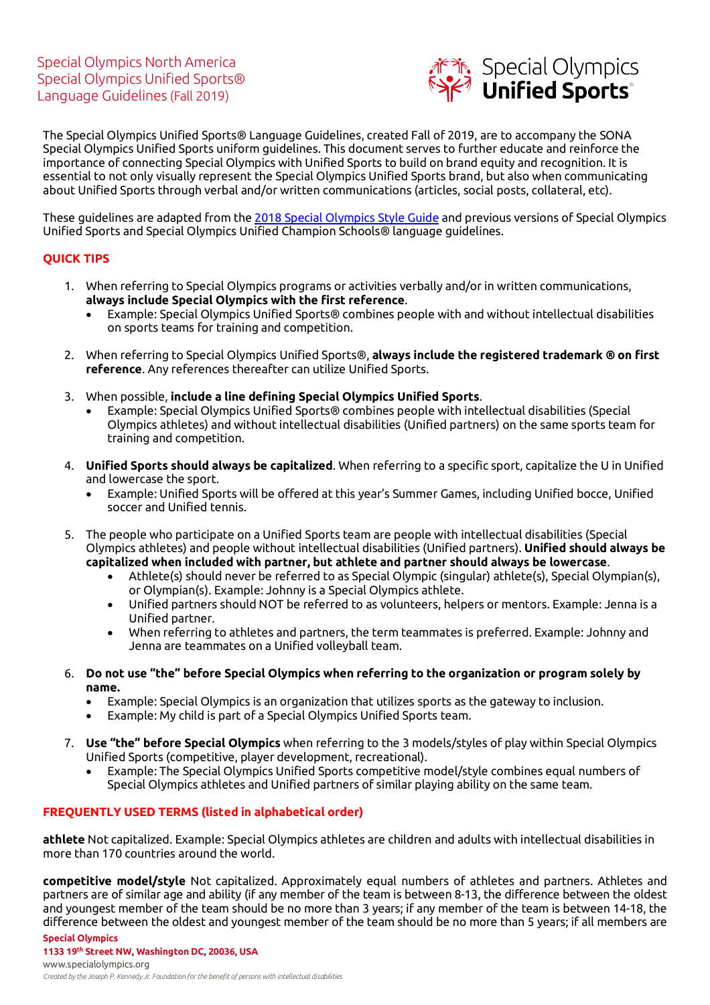

The Special Olympics Unified Sports® Language Guidelines, created Fall of 2019, are to accompany the SONA Special Olympics Unified Sports uniform guidelines. This document serves to further educate and reinforce the importance of connecting Special Olympics with Unified Sports to build on brand equity and recognition. It is essential to not only visually represent the Special Olympics Unified Sports brand, but also when communicating about Unified Sports through verbal and/or written communications (articles, social posts, collateral, etc).

These guidelines are adapted from the 2018 Special Olympics Style Guide and previous versions of Special Olympics Unified Sports and Special Olympics Unified Champion Schools® language guidelines.

## **QUICK TIPS**

- 1. When referring to Special Olympics programs or activities verbally and/or in written communications, **always include Special Olympics with the first reference**.
	- Example: Special Olympics Unified Sports® combines people with and without intellectual disabilities on sports teams for training and competition.
- 2. When referring to Special Olympics Unified Sports®, **always include the registered trademark ® on first reference**. Any references thereafter can utilize Unified Sports.
- 3. When possible, **include a line defining Special Olympics Unified Sports**.
	- Example: Special Olympics Unified Sports® combines people with intellectual disabilities (Special Olympics athletes) and without intellectual disabilities (Unified partners) on the same sports team for training and competition.
- 4. **Unified Sports should always be capitalized**. When referring to a specific sport, capitalize the U in Unified and lowercase the sport.
	- Example: Unified Sports will be offered at this year's Summer Games, including Unified bocce, Unified soccer and Unified tennis.
- 5. The people who participate on a Unified Sports team are people with intellectual disabilities (Special Olympics athletes) and people without intellectual disabilities (Unified partners). **Unified should always be capitalized when included with partner, but athlete and partner should always be lowercase**.
	- Athlete(s) should never be referred to as Special Olympic (singular) athlete(s), Special Olympian(s), or Olympian(s). Example: Johnny is a Special Olympics athlete.
	- Unified partners should NOT be referred to as volunteers, helpers or mentors. Example: Jenna is a Unified partner.
	- When referring to athletes and partners, the term teammates is preferred. Example: Johnny and Jenna are teammates on a Unified volleyball team.
- 6. **Do not use "the" before Special Olympics when referring to the organization or program solely by name.** 
	- Example: Special Olympics is an organization that utilizes sports as the gateway to inclusion.
	- Example: My child is part of a Special Olympics Unified Sports team.
- 7. **Use "the" before Special Olympics** when referring to the 3 models/styles of play within Special Olympics Unified Sports (competitive, player development, recreational).
	- Example: The Special Olympics Unified Sports competitive model/style combines equal numbers of Special Olympics athletes and Unified partners of similar playing ability on the same team.

## **FREQUENTLY USED TERMS (listed in alphabetical order)**

**athlete** Not capitalized. Example: Special Olympics athletes are children and adults with intellectual disabilities in more than 170 countries around the world.

**Special Olympics competitive model/style** Not capitalized. Approximately equal numbers of athletes and partners. Athletes and partners are of similar age and ability (if any member of the team is between 8-13, the difference between the oldest and youngest member of the team should be no more than 3 years; if any member of the team is between 14-18, the difference between the oldest and youngest member of the team should be no more than 5 years; if all members are

**1133 19th Street NW, Washington DC, 20036, USA**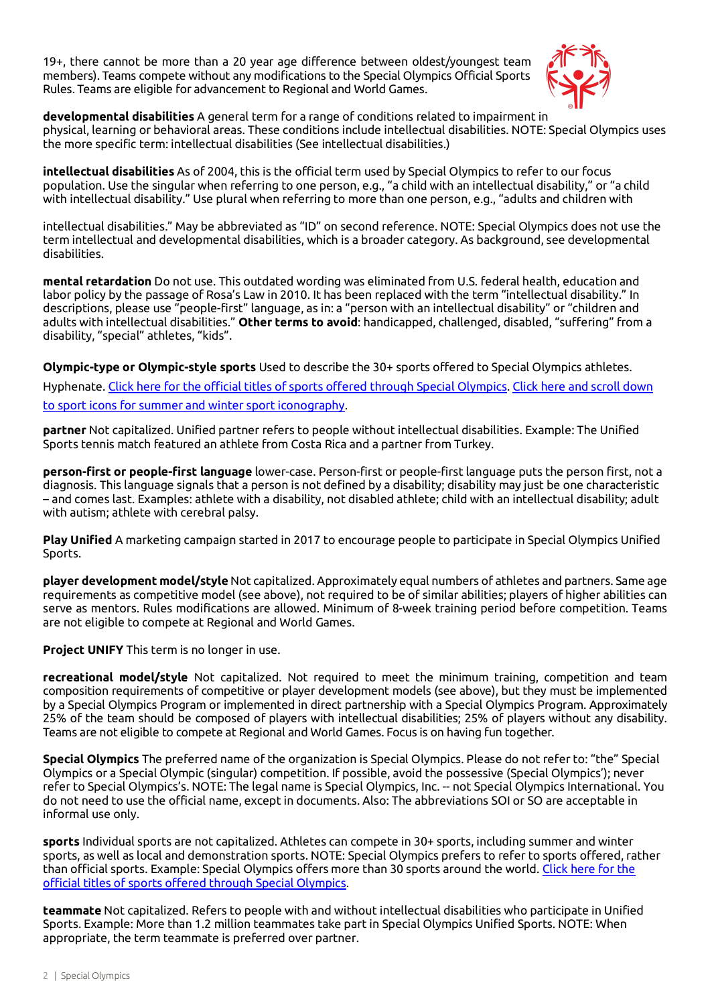19+, there cannot be more than a 20 year age difference between oldest/youngest team members). Teams compete without any modifications to the Special Olympics Official Sports Rules. Teams are eligible for advancement to Regional and World Games.



**developmental disabilities** A general term for a range of conditions related to impairment in

physical, learning or behavioral areas. These conditions include intellectual disabilities. NOTE: Special Olympics uses the more specific term: intellectual disabilities (See intellectual disabilities.)

**intellectual disabilities** As of 2004, this is the official term used by Special Olympics to refer to our focus population. Use the singular when referring to one person, e.g., "a child with an intellectual disability," or "a child with intellectual disability." Use plural when referring to more than one person, e.g., "adults and children with

intellectual disabilities." May be abbreviated as "ID" on second reference. NOTE: Special Olympics does not use the term intellectual and developmental disabilities, which is a broader category. As background, see developmental disabilities.

**mental retardation** Do not use. This outdated wording was eliminated from U.S. federal health, education and labor policy by the passage of Rosa's Law in 2010. It has been replaced with the term "intellectual disability." In descriptions, please use "people-first" language, as in: a "person with an intellectual disability" or "children and adults with intellectual disabilities." **Other terms to avoid**: handicapped, challenged, disabled, "suffering" from a disability, "special" athletes, "kids".

**Olympic-type or Olympic-style sports** Used to describe the 30+ sports offered to Special Olympics athletes.

Hyphenate. Click here for the official titles of sports offered through Special Olympics. Click here and scroll down to sport icons for summer and winter sport iconography.

**partner** Not capitalized. Unified partner refers to people without intellectual disabilities. Example: The Unified Sports tennis match featured an athlete from Costa Rica and a partner from Turkey.

**person-first or people-first language** lower-case. Person-first or people-first language puts the person first, not a diagnosis. This language signals that a person is not defined by a disability; disability may just be one characteristic – and comes last. Examples: athlete with a disability, not disabled athlete; child with an intellectual disability; adult with autism; athlete with cerebral palsy.

**Play Unified** A marketing campaign started in 2017 to encourage people to participate in Special Olympics Unified Sports.

**player development model/style** Not capitalized. Approximately equal numbers of athletes and partners. Same age requirements as competitive model (see above), not required to be of similar abilities; players of higher abilities can serve as mentors. Rules modifications are allowed. Minimum of 8-week training period before competition. Teams are not eligible to compete at Regional and World Games.

**Project UNIFY** This term is no longer in use.

**recreational model/style** Not capitalized. Not required to meet the minimum training, competition and team composition requirements of competitive or player development models (see above), but they must be implemented by a Special Olympics Program or implemented in direct partnership with a Special Olympics Program. Approximately 25% of the team should be composed of players with intellectual disabilities; 25% of players without any disability. Teams are not eligible to compete at Regional and World Games. Focus is on having fun together.

**Special Olympics** The preferred name of the organization is Special Olympics. Please do not refer to: "the" Special Olympics or a Special Olympic (singular) competition. If possible, avoid the possessive (Special Olympics'); never refer to Special Olympics's. NOTE: The legal name is Special Olympics, Inc. -- not Special Olympics International. You do not need to use the official name, except in documents. Also: The abbreviations SOI or SO are acceptable in informal use only.

**sports** Individual sports are not capitalized. Athletes can compete in 30+ sports, including summer and winter sports, as well as local and demonstration sports. NOTE: Special Olympics prefers to refer to sports offered, rather than official sports. Example: Special Olympics offers more than 30 sports around the world. Click here for the official titles of sports offered through Special Olympics.

**teammate** Not capitalized. Refers to people with and without intellectual disabilities who participate in Unified Sports. Example: More than 1.2 million teammates take part in Special Olympics Unified Sports. NOTE: When appropriate, the term teammate is preferred over partner.